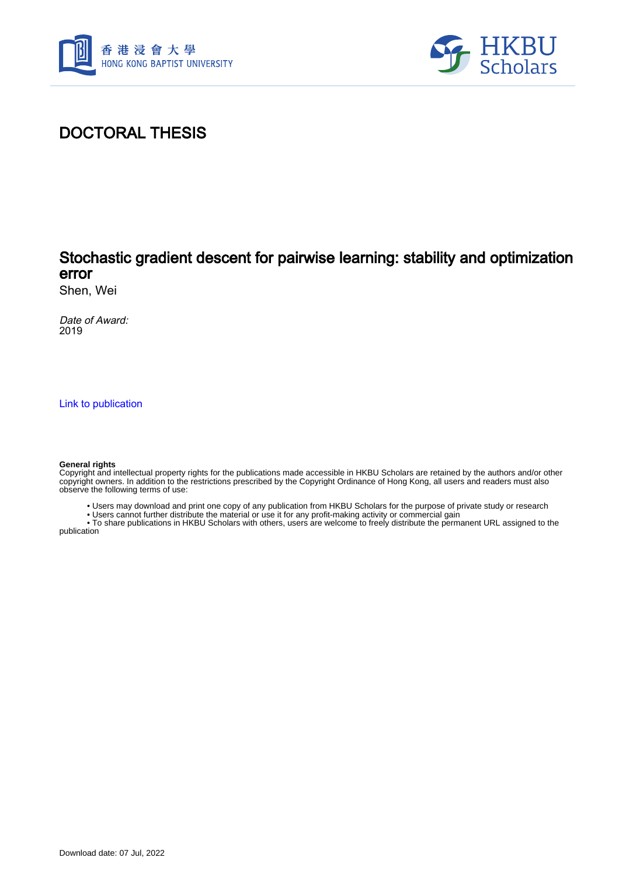



## DOCTORAL THESIS

## Stochastic gradient descent for pairwise learning: stability and optimization error

Shen, Wei

Date of Award: 2019

[Link to publication](https://scholars.hkbu.edu.hk/en/studentTheses/40c77bbc-c2ef-499d-923f-93f866398aa7)

#### **General rights**

Copyright and intellectual property rights for the publications made accessible in HKBU Scholars are retained by the authors and/or other copyright owners. In addition to the restrictions prescribed by the Copyright Ordinance of Hong Kong, all users and readers must also observe the following terms of use:

• Users may download and print one copy of any publication from HKBU Scholars for the purpose of private study or research

• Users cannot further distribute the material or use it for any profit-making activity or commercial gain

 • To share publications in HKBU Scholars with others, users are welcome to freely distribute the permanent URL assigned to the publication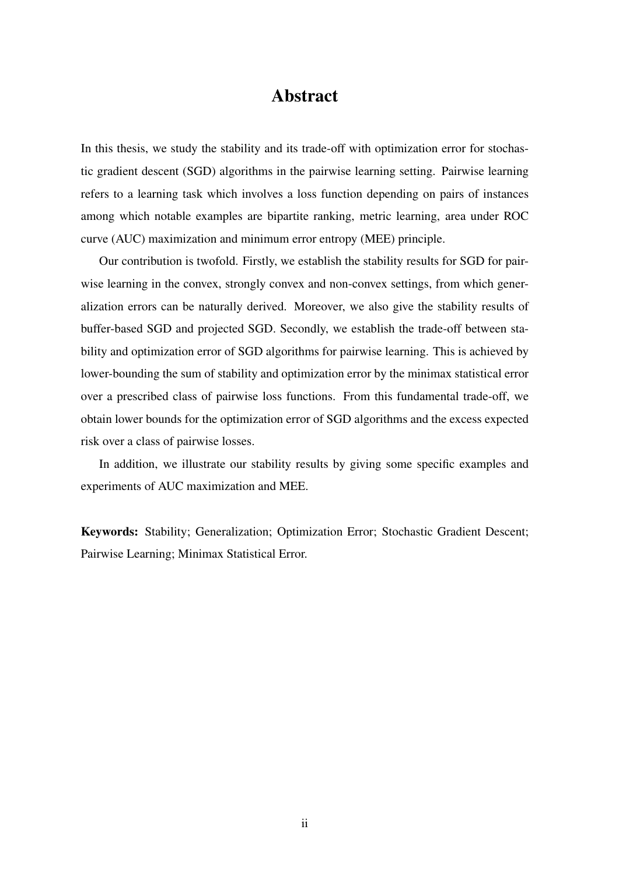### Abstract

In this thesis, we study the stability and its trade-off with optimization error for stochastic gradient descent (SGD) algorithms in the pairwise learning setting. Pairwise learning refers to a learning task which involves a loss function depending on pairs of instances among which notable examples are bipartite ranking, metric learning, area under ROC curve (AUC) maximization and minimum error entropy (MEE) principle.

Our contribution is twofold. Firstly, we establish the stability results for SGD for pairwise learning in the convex, strongly convex and non-convex settings, from which generalization errors can be naturally derived. Moreover, we also give the stability results of buffer-based SGD and projected SGD. Secondly, we establish the trade-off between stability and optimization error of SGD algorithms for pairwise learning. This is achieved by lower-bounding the sum of stability and optimization error by the minimax statistical error over a prescribed class of pairwise loss functions. From this fundamental trade-off, we obtain lower bounds for the optimization error of SGD algorithms and the excess expected risk over a class of pairwise losses.

In addition, we illustrate our stability results by giving some specific examples and experiments of AUC maximization and MEE.

Keywords: Stability; Generalization; Optimization Error; Stochastic Gradient Descent; Pairwise Learning; Minimax Statistical Error.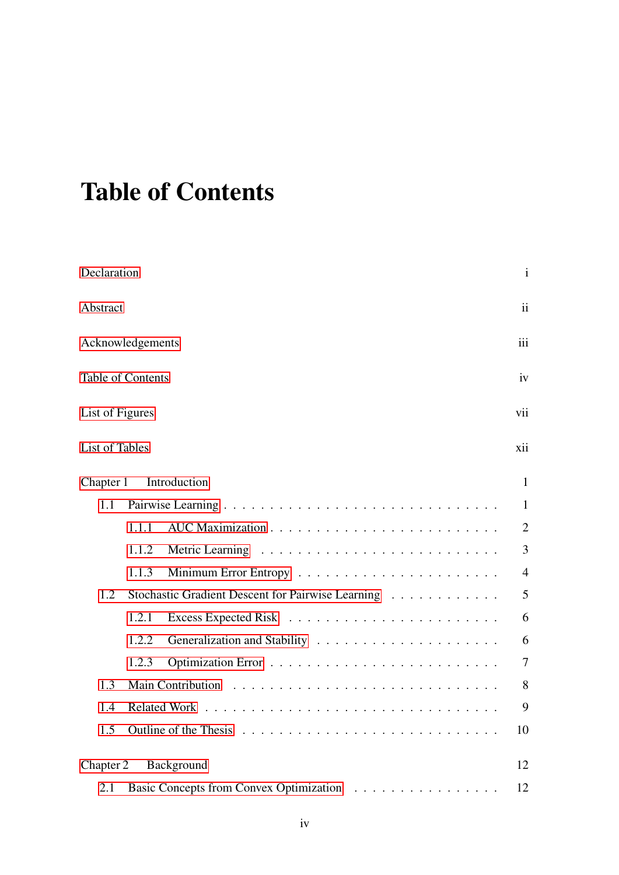# <span id="page-2-0"></span>Table of Contents

| Declaration               |                                                   | $\mathbf{i}$   |  |  |
|---------------------------|---------------------------------------------------|----------------|--|--|
| Abstract                  |                                                   |                |  |  |
| Acknowledgements          |                                                   |                |  |  |
| Table of Contents         |                                                   |                |  |  |
| List of Figures           |                                                   |                |  |  |
| List of Tables            |                                                   |                |  |  |
| Introduction<br>Chapter 1 |                                                   |                |  |  |
| 1.1                       |                                                   | $\mathbf{1}$   |  |  |
|                           | 1.1.1                                             | $\overline{2}$ |  |  |
|                           | 1.1.2                                             | $\overline{3}$ |  |  |
|                           | 1.1.3                                             | $\overline{4}$ |  |  |
| 1.2                       | Stochastic Gradient Descent for Pairwise Learning | 5              |  |  |
|                           | 1.2.1                                             | 6              |  |  |
|                           | 1.2.2                                             | 6              |  |  |
|                           | 1.2.3                                             | $\tau$         |  |  |
| 1.3                       | 8                                                 |                |  |  |
| 1.4                       | 9                                                 |                |  |  |
| 1.5                       | 10                                                |                |  |  |
| Chapter 2<br>Background   |                                                   | 12             |  |  |
| 2.1                       | Basic Concepts from Convex Optimization           | 12             |  |  |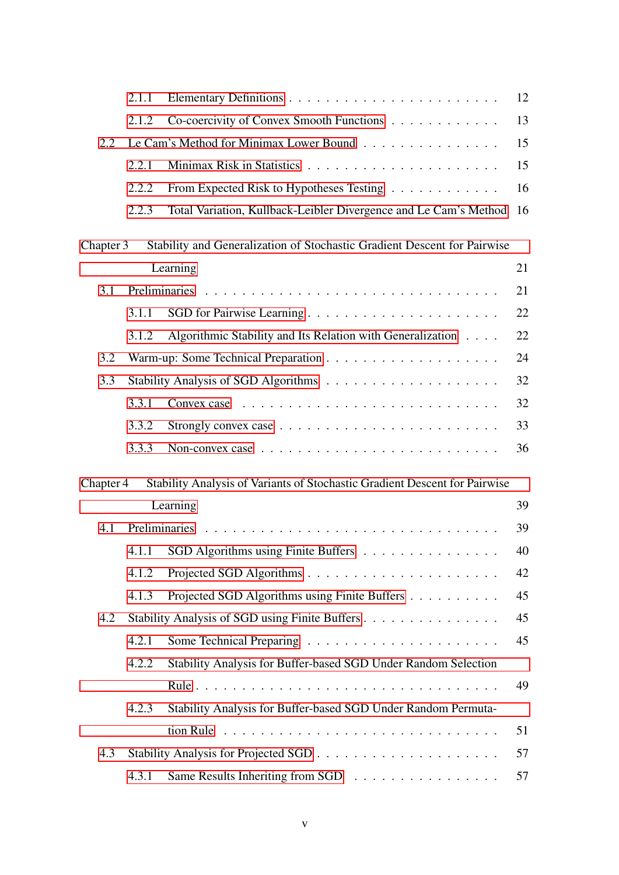|           | 2.1.1                                          |                                                                                     | 12 |  |
|-----------|------------------------------------------------|-------------------------------------------------------------------------------------|----|--|
|           | 2.1.2                                          | Co-coercivity of Convex Smooth Functions                                            | 13 |  |
| 2.2       | Le Cam's Method for Minimax Lower Bound        |                                                                                     |    |  |
|           | 2.2.1                                          |                                                                                     | 15 |  |
|           | 2.2.2                                          | From Expected Risk to Hypotheses Testing                                            | 16 |  |
|           | 2.2.3                                          | Total Variation, Kullback-Leibler Divergence and Le Cam's Method                    | 16 |  |
| Chapter 3 |                                                | Stability and Generalization of Stochastic Gradient Descent for Pairwise            |    |  |
|           |                                                | Learning                                                                            | 21 |  |
| 3.1       |                                                |                                                                                     | 21 |  |
|           | 3.1.1                                          |                                                                                     | 22 |  |
|           | 3.1.2                                          | Algorithmic Stability and Its Relation with Generalization                          | 22 |  |
| 3.2       |                                                |                                                                                     | 24 |  |
| 3.3       |                                                |                                                                                     | 32 |  |
|           | 3.3.1                                          |                                                                                     | 32 |  |
|           | 3.3.2                                          | Strongly convex case $\ldots \ldots \ldots \ldots \ldots \ldots \ldots$             | 33 |  |
|           | 3.3.3                                          | Non-convex case $\ldots \ldots \ldots \ldots \ldots \ldots \ldots \ldots$           | 36 |  |
| Chapter 4 |                                                | Stability Analysis of Variants of Stochastic Gradient Descent for Pairwise          |    |  |
|           |                                                | Learning                                                                            | 39 |  |
| 4.1       |                                                |                                                                                     | 39 |  |
|           | 4.1.1                                          | SGD Algorithms using Finite Buffers                                                 | 40 |  |
|           | 4.1.2                                          |                                                                                     | 42 |  |
|           | 4.1.3                                          | Projected SGD Algorithms using Finite Buffers                                       | 45 |  |
| 4.2       | Stability Analysis of SGD using Finite Buffers |                                                                                     |    |  |
|           | 4.2.1                                          |                                                                                     | 45 |  |
|           | 4.2.2                                          | Stability Analysis for Buffer-based SGD Under Random Selection                      |    |  |
|           |                                                |                                                                                     | 49 |  |
|           | 4.2.3                                          | Stability Analysis for Buffer-based SGD Under Random Permuta-                       |    |  |
|           |                                                | tion Rule $\dots \dots \dots \dots \dots \dots \dots \dots \dots \dots \dots \dots$ | 51 |  |
| 4.3       |                                                |                                                                                     | 57 |  |
|           | 4.3.1                                          | Same Results Inheriting from SGD                                                    | 57 |  |